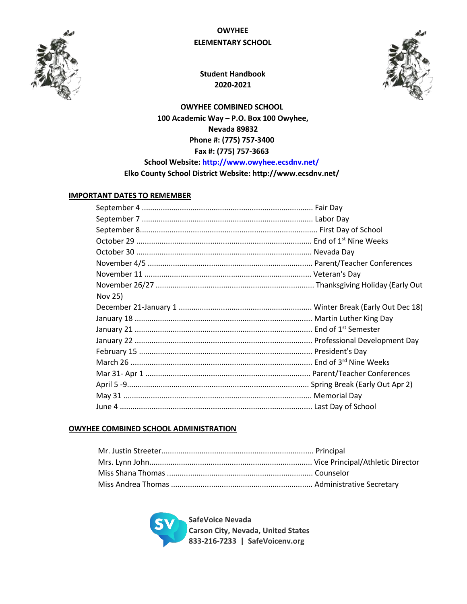

# **OWYHEE ELEMENTARY SCHOOL**



**Student Handbook 2020-2021**

**OWYHEE COMBINED SCHOOL 100 Academic Way – P.O. Box 100 Owyhee, Nevada 89832 Phone #: (775) 757-3400 Fax #: (775) 757-3663 School Website:<http://www.owyhee.ecsdnv.net/>**

**Elko County School District Website: http://www.ecsdnv.net/** 

## **IMPORTANT DATES TO REMEMBER**

| Nov 25) |  |
|---------|--|
|         |  |
|         |  |
|         |  |
|         |  |
|         |  |
|         |  |
|         |  |
|         |  |
|         |  |
|         |  |

## **OWYHEE COMBINED SCHOOL ADMINISTRATION**

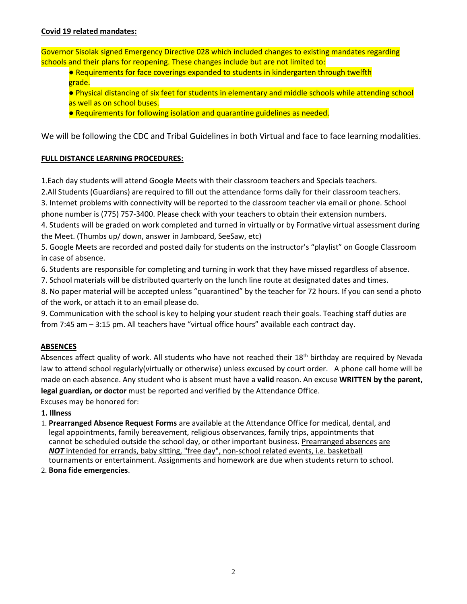## **Covid 19 related mandates:**

Governor Sisolak signed Emergency Directive 028 which included changes to existing mandates regarding schools and their plans for reopening. These changes include but are not limited to:

- Requirements for face coverings expanded to students in kindergarten through twelfth grade.
- Physical distancing of six feet for students in elementary and middle schools while attending school as well as on school buses.
- Requirements for following isolation and quarantine guidelines as needed.

We will be following the CDC and Tribal Guidelines in both Virtual and face to face learning modalities.

## **FULL DISTANCE LEARNING PROCEDURES:**

1.Each day students will attend Google Meets with their classroom teachers and Specials teachers.

2.All Students (Guardians) are required to fill out the attendance forms daily for their classroom teachers.

3. Internet problems with connectivity will be reported to the classroom teacher via email or phone. School phone number is (775) 757-3400. Please check with your teachers to obtain their extension numbers.

4. Students will be graded on work completed and turned in virtually or by Formative virtual assessment during the Meet. (Thumbs up/ down, answer in Jamboard, SeeSaw, etc)

5. Google Meets are recorded and posted daily for students on the instructor's "playlist" on Google Classroom in case of absence.

6. Students are responsible for completing and turning in work that they have missed regardless of absence.

7. School materials will be distributed quarterly on the lunch line route at designated dates and times.

8. No paper material will be accepted unless "quarantined" by the teacher for 72 hours. If you can send a photo of the work, or attach it to an email please do.

9. Communication with the school is key to helping your student reach their goals. Teaching staff duties are from 7:45 am – 3:15 pm. All teachers have "virtual office hours" available each contract day.

## **ABSENCES**

Absences affect quality of work. All students who have not reached their 18<sup>th</sup> birthday are required by Nevada law to attend school regularly(virtually or otherwise) unless excused by court order. A phone call home will be made on each absence. Any student who is absent must have a **valid** reason. An excuse **WRITTEN by the parent, legal guardian, or doctor** must be reported and verified by the Attendance Office.

Excuses may be honored for:

## **1. Illness**

- 1. **Prearranged Absence Request Forms** are available at the Attendance Office for medical, dental, and legal appointments, family bereavement, religious observances, family trips, appointments that cannot be scheduled outside the school day, or other important business. Prearranged absences are *NOT* intended for errands, baby sitting, "free day", non-school related events, i.e. basketball tournaments or entertainment. Assignments and homework are due when students return to school.
- 2. **Bona fide emergencies**.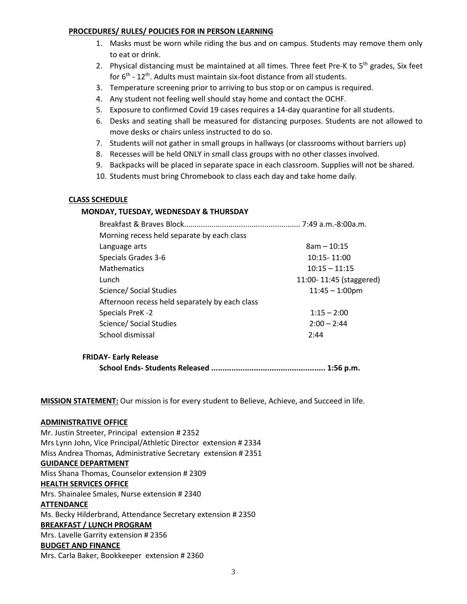#### **PROCEDURES/ RULES/ POLICIES FOR IN PERSON LEARNING**

- 1. Masks must be worn while riding the bus and on campus. Students may remove them only to eat or drink.
- 2. Physical distancing must be maintained at all times. Three feet Pre-K to  $5<sup>th</sup>$  grades, Six feet for 6<sup>th</sup> - 12<sup>th</sup>. Adults must maintain six-foot distance from all students.
- 3. Temperature screening prior to arriving to bus stop or on campus is required.
- 4. Any student not feeling well should stay home and contact the OCHF.
- 5. Exposure to confirmed Covid 19 cases requires a 14-day quarantine for all students.
- 6. Desks and seating shall be measured for distancing purposes. Students are not allowed to move desks or chairs unless instructed to do so.
- 7. Students will not gather in small groups in hallways (or classrooms without barriers up)
- 8. Recesses will be held ONLY in small class groups with no other classes involved.
- 9. Backpacks will be placed in separate space in each classroom. Supplies will not be shared.
- 10. Students must bring Chromebook to class each day and take home daily.

## **CLASS SCHEDULE**

## **MONDAY, TUESDAY, WEDNESDAY & THURSDAY**

| Morning recess held separate by each class     |                         |
|------------------------------------------------|-------------------------|
| Language arts                                  | $8am - 10:15$           |
| Specials Grades 3-6                            | 10:15 - 11:00           |
| <b>Mathematics</b>                             | $10:15 - 11:15$         |
| Lunch                                          | 11:00-11:45 (staggered) |
| Science/ Social Studies                        | $11:45 - 1:00$ pm       |
| Afternoon recess held separately by each class |                         |
| Specials PreK-2                                | $1:15 - 2:00$           |
| Science/ Social Studies                        | $2:00 - 2:44$           |
| School dismissal                               | 2:44                    |
|                                                |                         |

## **FRIDAY- Early Release School Ends- Students Released ................................................... 1:56 p.m.**

**MISSION STATEMENT:** Our mission is for every student to Believe, Achieve, and Succeed in life.

## **ADMINISTRATIVE OFFICE**

Mr. Justin Streeter, Principal extension # 2352 Mrs Lynn John, Vice Principal/Athletic Director extension # 2334 Miss Andrea Thomas, Administrative Secretary extension # 2351 **GUIDANCE DEPARTMENT**  Miss Shana Thomas, Counselor extension # 2309 **HEALTH SERVICES OFFICE** Mrs. Shainalee Smales, Nurse extension # 2340 **ATTENDANCE**  Ms. Becky Hilderbrand, Attendance Secretary extension # 2350 **BREAKFAST / LUNCH PROGRAM** Mrs. Lavelle Garrity extension # 2356 **BUDGET AND FINANCE** Mrs. Carla Baker, Bookkeeper extension # 2360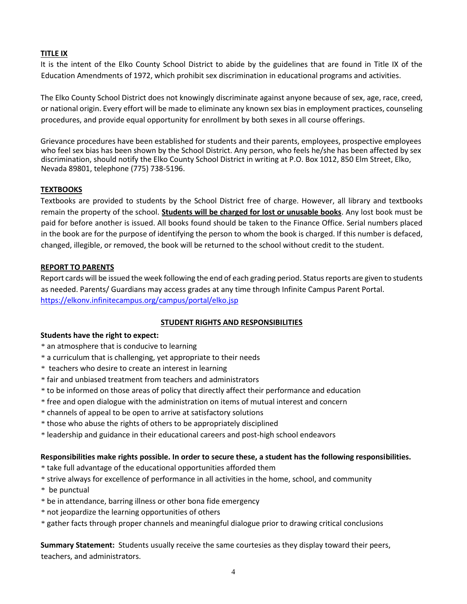## **TITLE IX**

It is the intent of the Elko County School District to abide by the guidelines that are found in Title IX of the Education Amendments of 1972, which prohibit sex discrimination in educational programs and activities.

The Elko County School District does not knowingly discriminate against anyone because of sex, age, race, creed, or national origin. Every effort will be made to eliminate any known sex bias in employment practices, counseling procedures, and provide equal opportunity for enrollment by both sexes in all course offerings.

Grievance procedures have been established for students and their parents, employees, prospective employees who feel sex bias has been shown by the School District. Any person, who feels he/she has been affected by sex discrimination, should notify the Elko County School District in writing at P.O. Box 1012, 850 Elm Street, Elko, Nevada 89801, telephone (775) 738-5196.

## **TEXTBOOKS**

Textbooks are provided to students by the School District free of charge. However, all library and textbooks remain the property of the school. **Students will be charged for lost or unusable books**. Any lost book must be paid for before another is issued. All books found should be taken to the Finance Office. Serial numbers placed in the book are for the purpose of identifying the person to whom the book is charged. If this number is defaced, changed, illegible, or removed, the book will be returned to the school without credit to the student.

## **REPORT TO PARENTS**

Report cards will be issued the week following the end of each grading period. Status reports are given to students as needed. Parents/ Guardians may access grades at any time through Infinite Campus Parent Portal. <https://elkonv.infinitecampus.org/campus/portal/elko.jsp>

## **STUDENT RIGHTS AND RESPONSIBILITIES**

## **Students have the right to expect:**

- \* an atmosphere that is conducive to learning
- \* a curriculum that is challenging, yet appropriate to their needs
- \* teachers who desire to create an interest in learning
- \* fair and unbiased treatment from teachers and administrators
- \* to be informed on those areas of policy that directly affect their performance and education
- \* free and open dialogue with the administration on items of mutual interest and concern
- \* channels of appeal to be open to arrive at satisfactory solutions
- \* those who abuse the rights of others to be appropriately disciplined
- \* leadership and guidance in their educational careers and post-high school endeavors

## **Responsibilities make rights possible. In order to secure these, a student has the following responsibilities.**

- \* take full advantage of the educational opportunities afforded them
- \* strive always for excellence of performance in all activities in the home, school, and community
- \* be punctual
- \* be in attendance, barring illness or other bona fide emergency
- \* not jeopardize the learning opportunities of others
- \* gather facts through proper channels and meaningful dialogue prior to drawing critical conclusions

**Summary Statement:** Students usually receive the same courtesies as they display toward their peers, teachers, and administrators.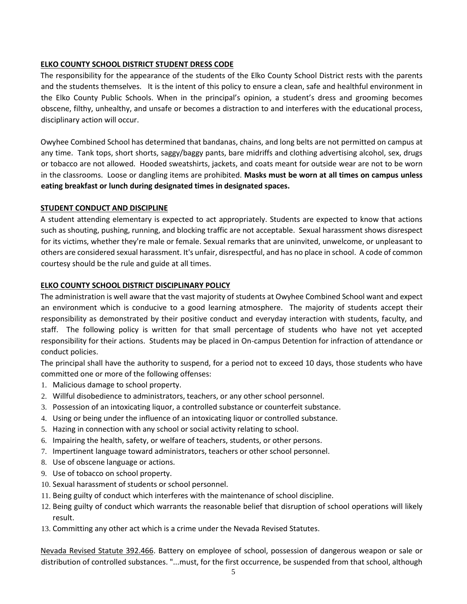## **ELKO COUNTY SCHOOL DISTRICT STUDENT DRESS CODE**

The responsibility for the appearance of the students of the Elko County School District rests with the parents and the students themselves. It is the intent of this policy to ensure a clean, safe and healthful environment in the Elko County Public Schools. When in the principal's opinion, a student's dress and grooming becomes obscene, filthy, unhealthy, and unsafe or becomes a distraction to and interferes with the educational process, disciplinary action will occur.

Owyhee Combined School has determined that bandanas, chains, and long belts are not permitted on campus at any time. Tank tops, short shorts, saggy/baggy pants, bare midriffs and clothing advertising alcohol, sex, drugs or tobacco are not allowed. Hooded sweatshirts, jackets, and coats meant for outside wear are not to be worn in the classrooms. Loose or dangling items are prohibited. **Masks must be worn at all times on campus unless eating breakfast or lunch during designated times in designated spaces.**

## **STUDENT CONDUCT AND DISCIPLINE**

A student attending elementary is expected to act appropriately. Students are expected to know that actions such as shouting, pushing, running, and blocking traffic are not acceptable. Sexual harassment shows disrespect for its victims, whether they're male or female. Sexual remarks that are uninvited, unwelcome, or unpleasant to others are considered sexual harassment. It's unfair, disrespectful, and has no place in school. A code of common courtesy should be the rule and guide at all times.

## **ELKO COUNTY SCHOOL DISTRICT DISCIPLINARY POLICY**

The administration is well aware that the vast majority of students at Owyhee Combined School want and expect an environment which is conducive to a good learning atmosphere. The majority of students accept their responsibility as demonstrated by their positive conduct and everyday interaction with students, faculty, and staff. The following policy is written for that small percentage of students who have not yet accepted responsibility for their actions. Students may be placed in On-campus Detention for infraction of attendance or conduct policies.

The principal shall have the authority to suspend, for a period not to exceed 10 days, those students who have committed one or more of the following offenses:

- 1. Malicious damage to school property.
- 2. Willful disobedience to administrators, teachers, or any other school personnel.
- 3. Possession of an intoxicating liquor, a controlled substance or counterfeit substance.
- 4. Using or being under the influence of an intoxicating liquor or controlled substance.
- 5. Hazing in connection with any school or social activity relating to school.
- 6. Impairing the health, safety, or welfare of teachers, students, or other persons.
- 7. Impertinent language toward administrators, teachers or other school personnel.
- 8. Use of obscene language or actions.
- 9. Use of tobacco on school property.
- 10. Sexual harassment of students or school personnel.
- 11. Being guilty of conduct which interferes with the maintenance of school discipline.
- 12. Being guilty of conduct which warrants the reasonable belief that disruption of school operations will likely result.
- 13. Committing any other act which is a crime under the Nevada Revised Statutes.

Nevada Revised Statute 392.466. Battery on employee of school, possession of dangerous weapon or sale or distribution of controlled substances. "...must, for the first occurrence, be suspended from that school, although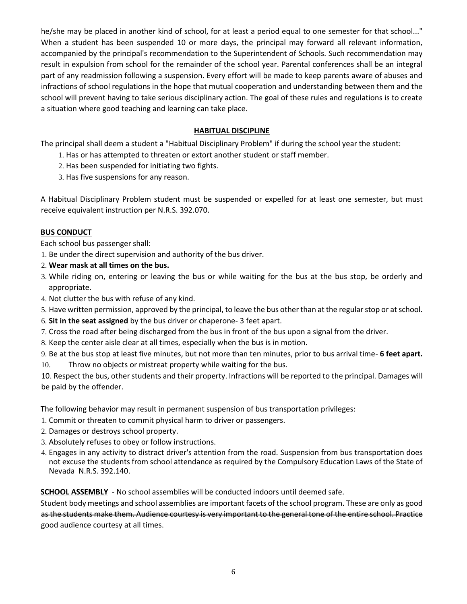he/she may be placed in another kind of school, for at least a period equal to one semester for that school..." When a student has been suspended 10 or more days, the principal may forward all relevant information, accompanied by the principal's recommendation to the Superintendent of Schools. Such recommendation may result in expulsion from school for the remainder of the school year. Parental conferences shall be an integral part of any readmission following a suspension. Every effort will be made to keep parents aware of abuses and infractions of school regulations in the hope that mutual cooperation and understanding between them and the school will prevent having to take serious disciplinary action. The goal of these rules and regulations is to create a situation where good teaching and learning can take place.

## **HABITUAL DISCIPLINE**

The principal shall deem a student a "Habitual Disciplinary Problem" if during the school year the student:

- 1. Has or has attempted to threaten or extort another student or staff member.
- 2. Has been suspended for initiating two fights.
- 3. Has five suspensions for any reason.

A Habitual Disciplinary Problem student must be suspended or expelled for at least one semester, but must receive equivalent instruction per N.R.S. 392.070.

## **BUS CONDUCT**

Each school bus passenger shall:

- 1. Be under the direct supervision and authority of the bus driver.
- 2. **Wear mask at all times on the bus.**
- 3. While riding on, entering or leaving the bus or while waiting for the bus at the bus stop, be orderly and appropriate.
- 4. Not clutter the bus with refuse of any kind.
- 5. Have written permission, approved by the principal, to leave the bus other than at the regular stop or at school.
- 6. **Sit in the seat assigned** by the bus driver or chaperone- 3 feet apart.
- 7. Cross the road after being discharged from the bus in front of the bus upon a signal from the driver.
- 8. Keep the center aisle clear at all times, especially when the bus is in motion.

9. Be at the bus stop at least five minutes, but not more than ten minutes, prior to bus arrival time- **6 feet apart.** 10. Throw no objects or mistreat property while waiting for the bus.

10. Respect the bus, other students and their property. Infractions will be reported to the principal. Damages will be paid by the offender.

The following behavior may result in permanent suspension of bus transportation privileges:

- 1. Commit or threaten to commit physical harm to driver or passengers.
- 2. Damages or destroys school property.
- 3. Absolutely refuses to obey or follow instructions.
- 4. Engages in any activity to distract driver's attention from the road. Suspension from bus transportation does not excuse the students from school attendance as required by the Compulsory Education Laws of the State of Nevada N.R.S. 392.140.

**SCHOOL ASSEMBLY** - No school assemblies will be conducted indoors until deemed safe.

Student body meetings and school assemblies are important facets of the school program. These are only as good as the students make them. Audience courtesy is very important to the general tone of the entire school. Practice good audience courtesy at all times.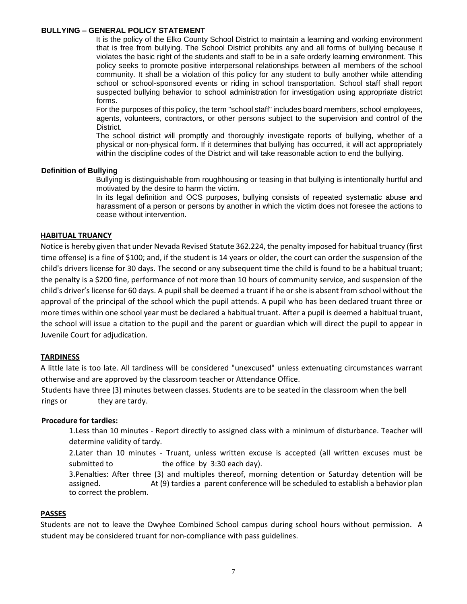#### **BULLYING – GENERAL POLICY STATEMENT**

It is the policy of the Elko County School District to maintain a learning and working environment that is free from bullying. The School District prohibits any and all forms of bullying because it violates the basic right of the students and staff to be in a safe orderly learning environment. This policy seeks to promote positive interpersonal relationships between all members of the school community. It shall be a violation of this policy for any student to bully another while attending school or school-sponsored events or riding in school transportation. School staff shall report suspected bullying behavior to school administration for investigation using appropriate district forms.

For the purposes of this policy, the term "school staff" includes board members, school employees, agents, volunteers, contractors, or other persons subject to the supervision and control of the District.

The school district will promptly and thoroughly investigate reports of bullying, whether of a physical or non-physical form. If it determines that bullying has occurred, it will act appropriately within the discipline codes of the District and will take reasonable action to end the bullying.

#### **Definition of Bullying**

Bullying is distinguishable from roughhousing or teasing in that bullying is intentionally hurtful and motivated by the desire to harm the victim.

In its legal definition and OCS purposes, bullying consists of repeated systematic abuse and harassment of a person or persons by another in which the victim does not foresee the actions to cease without intervention.

#### **HABITUAL TRUANCY**

Notice is hereby given that under Nevada Revised Statute 362.224, the penalty imposed for habitual truancy (first time offense) is a fine of \$100; and, if the student is 14 years or older, the court can order the suspension of the child's drivers license for 30 days. The second or any subsequent time the child is found to be a habitual truant; the penalty is a \$200 fine, performance of not more than 10 hours of community service, and suspension of the child's driver's license for 60 days. A pupil shall be deemed a truant if he or she is absent from school without the approval of the principal of the school which the pupil attends. A pupil who has been declared truant three or more times within one school year must be declared a habitual truant. After a pupil is deemed a habitual truant, the school will issue a citation to the pupil and the parent or guardian which will direct the pupil to appear in Juvenile Court for adjudication.

## **TARDINESS**

A little late is too late. All tardiness will be considered "unexcused" unless extenuating circumstances warrant otherwise and are approved by the classroom teacher or Attendance Office.

Students have three (3) minutes between classes. Students are to be seated in the classroom when the bell rings or they are tardy.

#### **Procedure for tardies:**

1.Less than 10 minutes - Report directly to assigned class with a minimum of disturbance. Teacher will determine validity of tardy.

2.Later than 10 minutes - Truant, unless written excuse is accepted (all written excuses must be submitted to the office by 3:30 each day).

3.Penalties: After three (3) and multiples thereof, morning detention or Saturday detention will be assigned. At (9) tardies a parent conference will be scheduled to establish a behavior plan to correct the problem.

## **PASSES**

Students are not to leave the Owyhee Combined School campus during school hours without permission. A student may be considered truant for non-compliance with pass guidelines.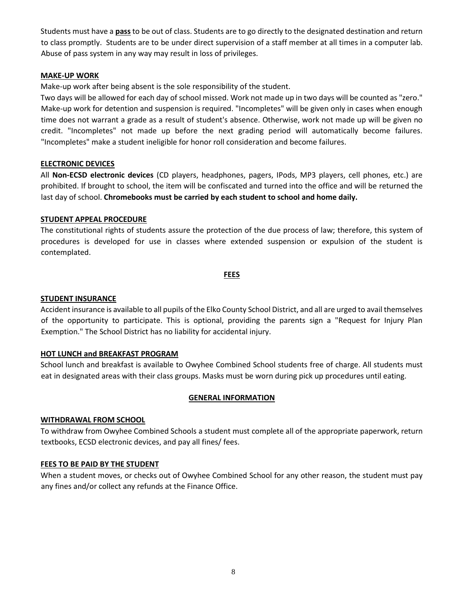Students must have a **pass** to be out of class. Students are to go directly to the designated destination and return to class promptly. Students are to be under direct supervision of a staff member at all times in a computer lab. Abuse of pass system in any way may result in loss of privileges.

## **MAKE-UP WORK**

Make-up work after being absent is the sole responsibility of the student.

Two days will be allowed for each day of school missed. Work not made up in two days will be counted as "zero." Make-up work for detention and suspension is required. "Incompletes" will be given only in cases when enough time does not warrant a grade as a result of student's absence. Otherwise, work not made up will be given no credit. "Incompletes" not made up before the next grading period will automatically become failures. "Incompletes" make a student ineligible for honor roll consideration and become failures.

## **ELECTRONIC DEVICES**

All **Non-ECSD electronic devices** (CD players, headphones, pagers, IPods, MP3 players, cell phones, etc.) are prohibited. If brought to school, the item will be confiscated and turned into the office and will be returned the last day of school. **Chromebooks must be carried by each student to school and home daily.**

#### **STUDENT APPEAL PROCEDURE**

The constitutional rights of students assure the protection of the due process of law; therefore, this system of procedures is developed for use in classes where extended suspension or expulsion of the student is contemplated.

#### **FEES**

#### **STUDENT INSURANCE**

Accident insurance is available to all pupils of the Elko County School District, and all are urged to avail themselves of the opportunity to participate. This is optional, providing the parents sign a "Request for Injury Plan Exemption." The School District has no liability for accidental injury.

## **HOT LUNCH and BREAKFAST PROGRAM**

School lunch and breakfast is available to Owyhee Combined School students free of charge. All students must eat in designated areas with their class groups. Masks must be worn during pick up procedures until eating.

#### **GENERAL INFORMATION**

## **WITHDRAWAL FROM SCHOOL**

To withdraw from Owyhee Combined Schools a student must complete all of the appropriate paperwork, return textbooks, ECSD electronic devices, and pay all fines/ fees.

## **FEES TO BE PAID BY THE STUDENT**

When a student moves, or checks out of Owyhee Combined School for any other reason, the student must pay any fines and/or collect any refunds at the Finance Office.